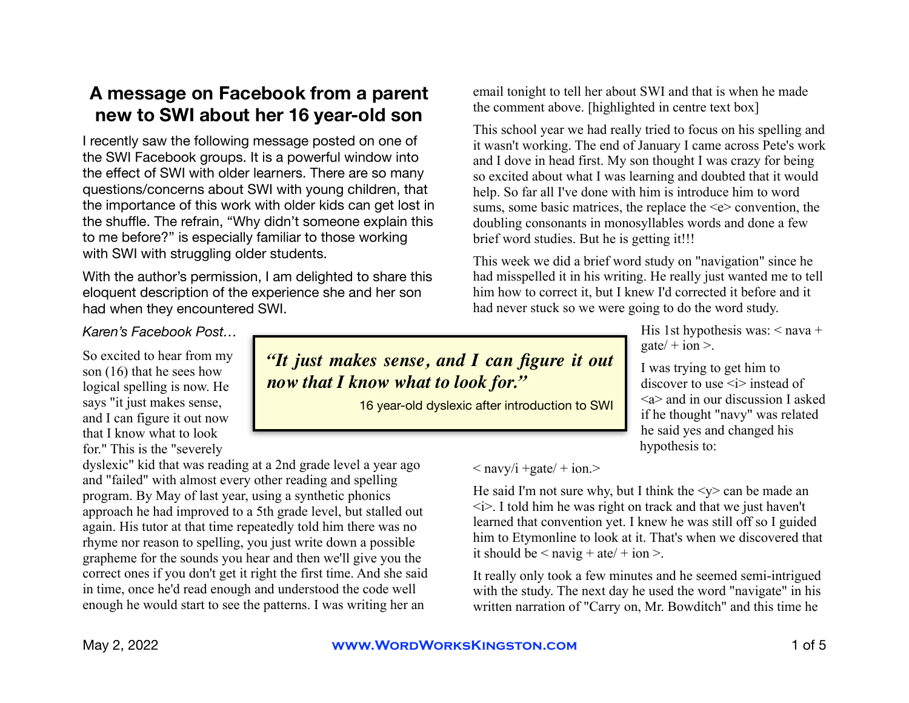# **A message on Facebook from a parent new to SWI about her 16 year-old son**

I recently saw the following message posted on one of the SWI Facebook groups. It is a powerful window into the effect of SWI with older learners. There are so many questions/concerns about SWI with young children, that the importance of this work with older kids can get lost in the shuffle. The refrain, "Why didn't someone explain this to me before?" is especially familiar to those working with SWI with struggling older students.

With the author's permission, I am delighted to share this eloquent description of the experience she and her son had when they encountered SWI.

#### email tonight to tell her about SWI and that is when he made the comment above. [highlighted in centre text box]

This school year we had really tried to focus on his spelling and it wasn't working. The end of January I came across Pete's work and I dove in head first. My son thought I was crazy for being so excited about what I was learning and doubted that it would help. So far all I've done with him is introduce him to word sums, some basic matrices, the replace the  $\leq e$  convention, the doubling consonants in monosyllables words and done a few brief word studies. But he is getting it!!!

This week we did a brief word study on "navigation" since he had misspelled it in his writing. He really just wanted me to tell him how to correct it, but I knew I'd corrected it before and it had never stuck so we were going to do the word study.

> His 1st hypothesis was:  $\leq$  nava + gate $/ +$ ion >.

I was trying to get him to discover to use  $\langle i \rangle$  instead of  $\leq a$  and in our discussion I asked if he thought "navy" was related he said yes and changed his hypothesis to:

 $\langle$  navy/i +gate/ + ion. $>$ 

He said I'm not sure why, but I think the  $\langle v \rangle$  can be made an  $\langle i \rangle$ . I told him he was right on track and that we just haven't learned that convention yet. I knew he was still off so I guided him to Etymonline to look at it. That's when we discovered that it should be  $\leq$  navig + ate/ + ion >.

It really only took a few minutes and he seemed semi-intrigued with the study. The next day he used the word "navigate" in his written narration of "Carry on, Mr. Bowditch" and this time he

### *Karen's Facebook Post…*

So excited to hear from my son (16) that he sees how logical spelling is now. He says "it just makes sense, and I can figure it out now that I know what to look for." This is the "severely

dyslexic" kid that was reading at a 2nd grade level a year ago and "failed" with almost every other reading and spelling program. By May of last year, using a synthetic phonics approach he had improved to a 5th grade level, but stalled out again. His tutor at that time repeatedly told him there was no rhyme nor reason to spelling, you just write down a possible grapheme for the sounds you hear and then we'll give you the correct ones if you don't get it right the first time. And she said in time, once he'd read enough and understood the code well enough he would start to see the patterns. I was writing her an

*"It just makes sense, and I can figure it out now that I know what to look for."* 

16 year-old dyslexic after introduction to SWI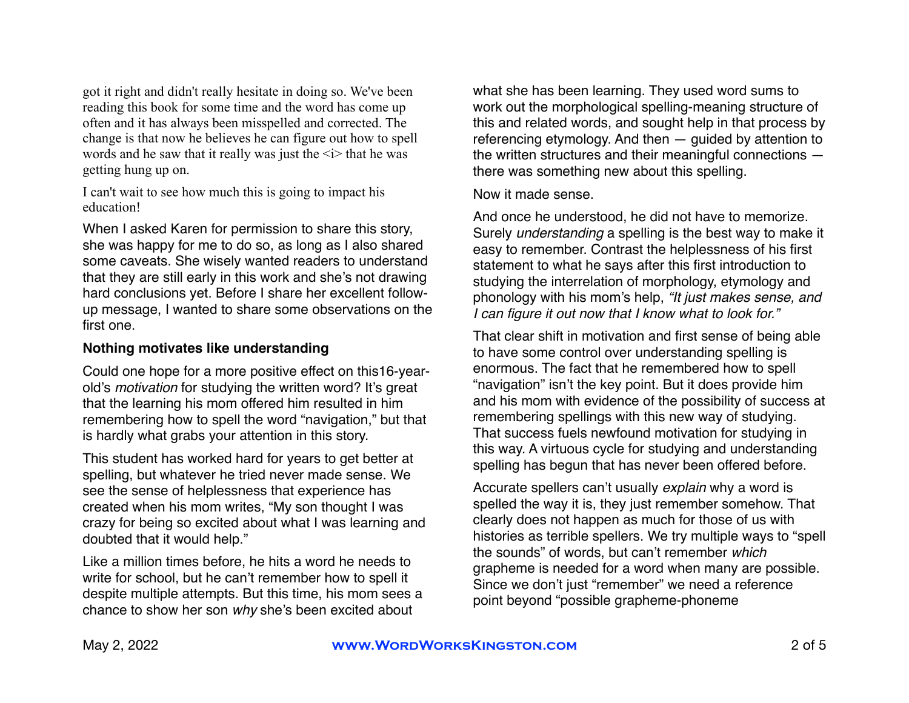got it right and didn't really hesitate in doing so. We've been reading this book for some time and the word has come up often and it has always been misspelled and corrected. The change is that now he believes he can figure out how to spell words and he saw that it really was just the  $\le i$  that he was getting hung up on.

I can't wait to see how much this is going to impact his education!

When I asked Karen for permission to share this story, she was happy for me to do so, as long as I also shared some caveats. She wisely wanted readers to understand that they are still early in this work and she's not drawing hard conclusions yet. Before I share her excellent followup message, I wanted to share some observations on the first one.

#### **Nothing motivates like understanding**

Could one hope for a more positive effect on this16-yearold's *motivation* for studying the written word? It's great that the learning his mom offered him resulted in him remembering how to spell the word "navigation," but that is hardly what grabs your attention in this story.

This student has worked hard for years to get better at spelling, but whatever he tried never made sense. We see the sense of helplessness that experience has created when his mom writes, "My son thought I was crazy for being so excited about what I was learning and doubted that it would help."

Like a million times before, he hits a word he needs to write for school, but he can't remember how to spell it despite multiple attempts. But this time, his mom sees a chance to show her son *why* she's been excited about

what she has been learning. They used word sums to work out the morphological spelling-meaning structure of this and related words, and sought help in that process by referencing etymology. And then — guided by attention to the written structures and their meaningful connections there was something new about this spelling.

Now it made sense.

And once he understood, he did not have to memorize. Surely *understanding* a spelling is the best way to make it easy to remember. Contrast the helplessness of his first statement to what he says after this first introduction to studying the interrelation of morphology, etymology and phonology with his mom's help, *"It just makes sense, and I can figure it out now that I know what to look for."*

That clear shift in motivation and first sense of being able to have some control over understanding spelling is enormous. The fact that he remembered how to spell "navigation" isn't the key point. But it does provide him and his mom with evidence of the possibility of success at remembering spellings with this new way of studying. That success fuels newfound motivation for studying in this way. A virtuous cycle for studying and understanding spelling has begun that has never been offered before.

Accurate spellers can't usually *explain* why a word is spelled the way it is, they just remember somehow. That clearly does not happen as much for those of us with histories as terrible spellers. We try multiple ways to "spell the sounds" of words, but can't remember *which*  grapheme is needed for a word when many are possible. Since we don't just "remember" we need a reference point beyond "possible grapheme-phoneme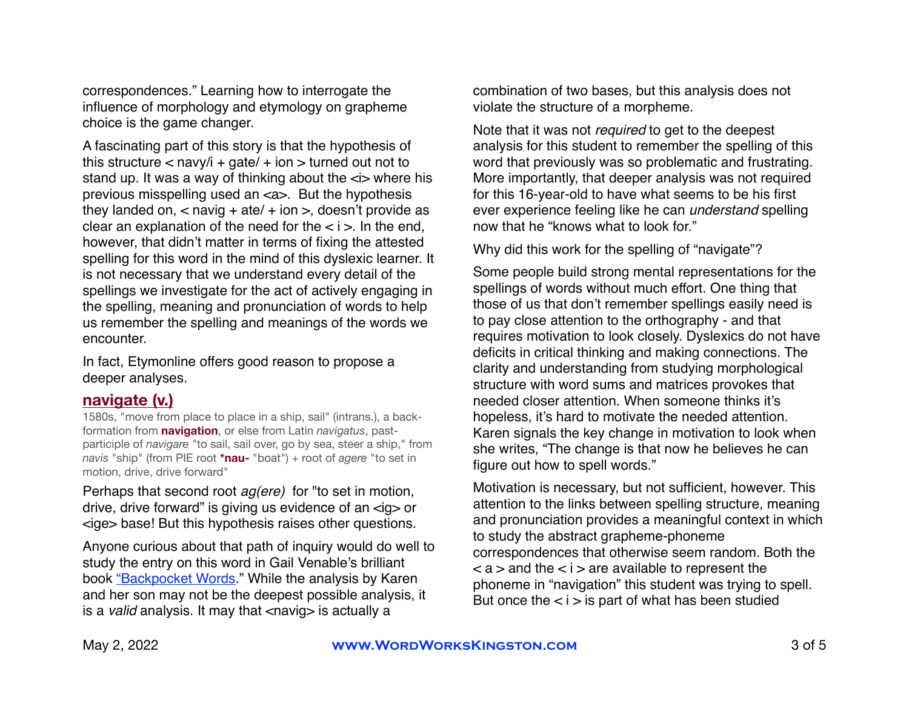correspondences." Learning how to interrogate the influence of morphology and etymology on grapheme choice is the game changer.

A fascinating part of this story is that the hypothesis of this structure  $<$  navy/i + gate/ + ion  $>$  turned out not to stand up. It was a way of thinking about the  $\le$  where his previous misspelling used an <a>. But the hypothesis they landed on,  $\lt$  navig + ate/ + ion  $\gt$ , doesn't provide as clear an explanation of the need for the  $\lt i$   $>$ . In the end, however, that didn't matter in terms of fixing the attested spelling for this word in the mind of this dyslexic learner. It is not necessary that we understand every detail of the spellings we investigate for the act of actively engaging in the spelling, meaning and pronunciation of words to help us remember the spelling and meanings of the words we encounter.

In fact, Etymonline offers good reason to propose a deeper analyses.

# **[navigate](https://www.etymonline.com/word/navigate#etymonline_v_31051) (v.)**

1580s, "move from place to place in a ship, sail" (intrans.), a backformation from **[navigation](https://www.etymonline.com/word/navigation?ref=etymonline_crossreference)**, or else from Latin *navigatus*, pastparticiple of *navigare* "to sail, sail over, go by sea, steer a ship," from *navis* "ship" (from PIE root **[\\*nau-](https://www.etymonline.com/word/*nau-?ref=etymonline_crossreference)** "boat") + root of *agere* "to set in motion, drive, drive forward"

Perhaps that second root *ag(ere)* for "to set in motion, drive, drive forward" is giving us evidence of an <ig> or <ige> base! But this hypothesis raises other questions.

Anyone curious about that path of inquiry would do well to study the entry on this word in Gail Venable's brilliant book ["Backpocket Words](https://www.realspellers.org/resources/books/1455-announcing-my-new-book-backpocket-words)." While the analysis by Karen and her son may not be the deepest possible analysis, it is a *valid* analysis. It may that <navig> is actually a

combination of two bases, but this analysis does not violate the structure of a morpheme.

Note that it was not *required* to get to the deepest analysis for this student to remember the spelling of this word that previously was so problematic and frustrating. More importantly, that deeper analysis was not required for this 16-year-old to have what seems to be his first ever experience feeling like he can *understand* spelling now that he "knows what to look for."

Why did this work for the spelling of "navigate"?

Some people build strong mental representations for the spellings of words without much effort. One thing that those of us that don't remember spellings easily need is to pay close attention to the orthography - and that requires motivation to look closely. Dyslexics do not have deficits in critical thinking and making connections. The clarity and understanding from studying morphological structure with word sums and matrices provokes that needed closer attention. When someone thinks it's hopeless, it's hard to motivate the needed attention. Karen signals the key change in motivation to look when she writes, "The change is that now he believes he can figure out how to spell words."

Motivation is necessary, but not sufficient, however. This attention to the links between spelling structure, meaning and pronunciation provides a meaningful context in which to study the abstract grapheme-phoneme correspondences that otherwise seem random. Both the  $\langle a \rangle$  and the  $\langle a \rangle$  are available to represent the phoneme in "navigation" this student was trying to spell. But once the  $\lt i$  > is part of what has been studied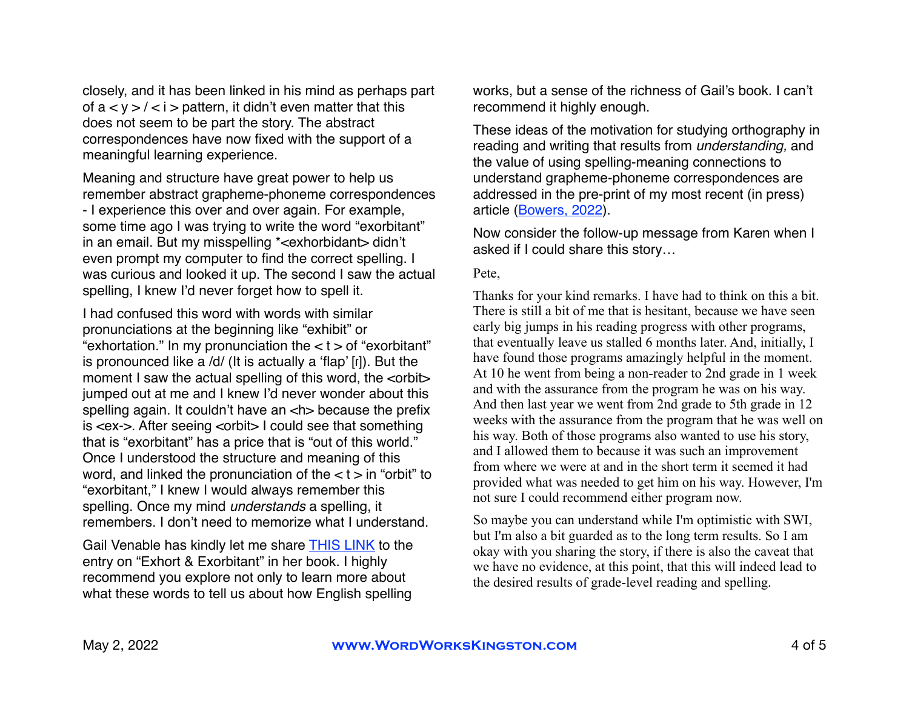closely, and it has been linked in his mind as perhaps part of  $a < y > l < i$  > pattern, it didn't even matter that this does not seem to be part the story. The abstract correspondences have now fixed with the support of a meaningful learning experience.

Meaning and structure have great power to help us remember abstract grapheme-phoneme correspondences - I experience this over and over again. For example, some time ago I was trying to write the word "exorbitant" in an email. But my misspelling \*<exhorbidant> didn't even prompt my computer to find the correct spelling. I was curious and looked it up. The second I saw the actual spelling, I knew I'd never forget how to spell it.

I had confused this word with words with similar pronunciations at the beginning like "exhibit" or "exhortation." In my pronunciation the  $lt$  t > of "exorbitant" is pronounced like a /d/ (It is actually a 'flap' [ɾ]). But the moment I saw the actual spelling of this word, the <orbit> jumped out at me and I knew I'd never wonder about this spelling again. It couldn't have an <h> because the prefix is <ex->. After seeing <orbit> I could see that something that is "exorbitant" has a price that is "out of this world." Once I understood the structure and meaning of this word, and linked the pronunciation of the  $< t$  > in "orbit" to "exorbitant," I knew I would always remember this spelling. Once my mind *understands* a spelling, it remembers. I don't need to memorize what I understand.

Gail Venable has kindly let me share [THIS LINK](http://files.realspellers.org/PetesFolder/resources/Exhort_and_Exorbitant_Backpocket_Words_Gail_Portnuff_Venable_2021.pdf) to the entry on "Exhort & Exorbitant" in her book. I highly recommend you explore not only to learn more about what these words to tell us about how English spelling

works, but a sense of the richness of Gail's book. I can't recommend it highly enough.

These ideas of the motivation for studying orthography in reading and writing that results from *understanding,* and the value of using spelling-meaning connections to understand grapheme-phoneme correspondences are addressed in the pre-print of my most recent (in press) article ([Bowers, 2022\)](https://psyarxiv.com/aktzw/).

Now consider the follow-up message from Karen when I asked if I could share this story…

#### Pete,

Thanks for your kind remarks. I have had to think on this a bit. There is still a bit of me that is hesitant, because we have seen early big jumps in his reading progress with other programs, that eventually leave us stalled 6 months later. And, initially, I have found those programs amazingly helpful in the moment. At 10 he went from being a non-reader to 2nd grade in 1 week and with the assurance from the program he was on his way. And then last year we went from 2nd grade to 5th grade in 12 weeks with the assurance from the program that he was well on his way. Both of those programs also wanted to use his story, and I allowed them to because it was such an improvement from where we were at and in the short term it seemed it had provided what was needed to get him on his way. However, I'm not sure I could recommend either program now.

So maybe you can understand while I'm optimistic with SWI, but I'm also a bit guarded as to the long term results. So I am okay with you sharing the story, if there is also the caveat that we have no evidence, at this point, that this will indeed lead to the desired results of grade-level reading and spelling.